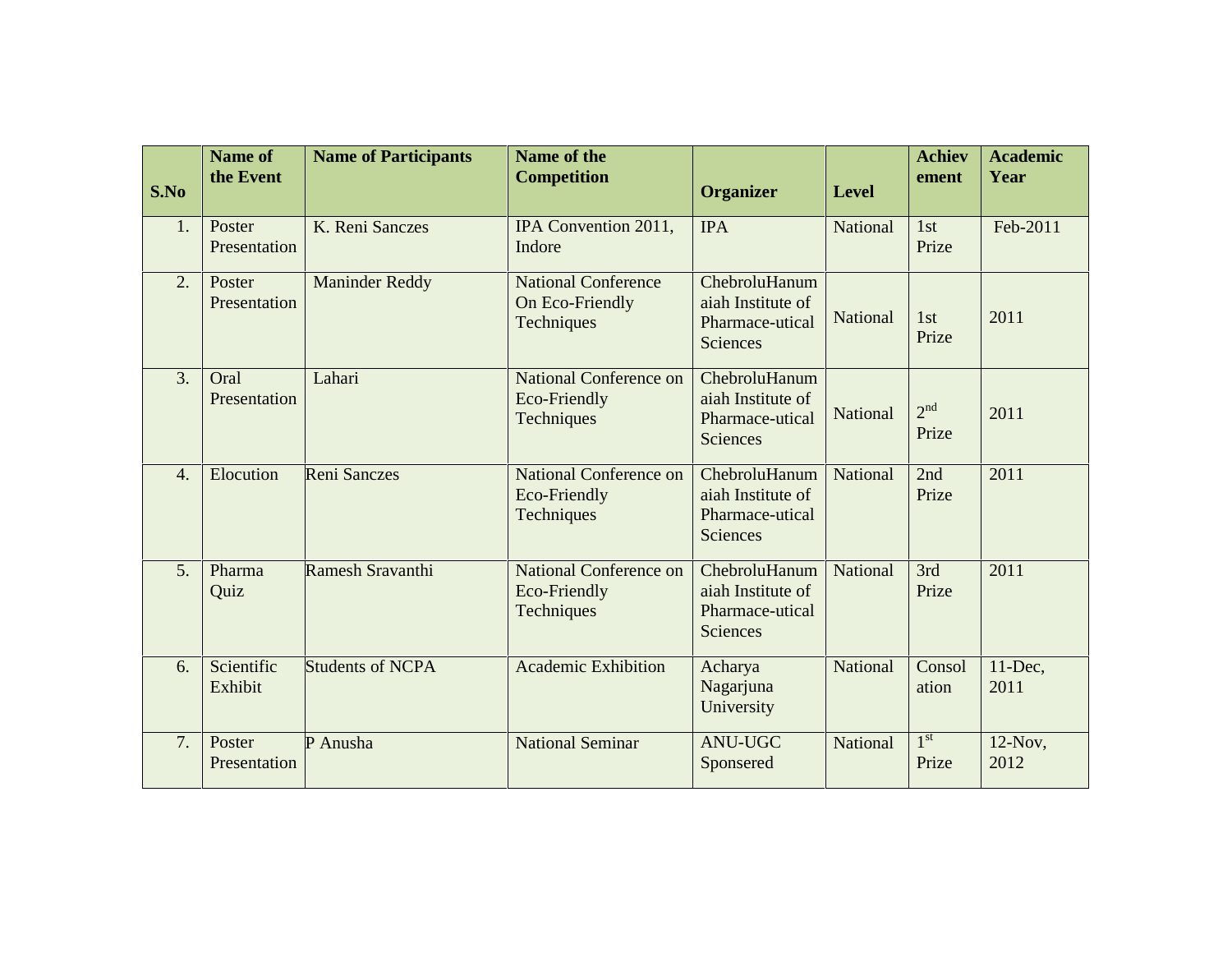| S.No             | Name of<br>the Event   | <b>Name of Participants</b> | Name of the<br><b>Competition</b>                           | <b>Organizer</b>                                                         | <b>Level</b>    | <b>Achiev</b><br>ement   | <b>Academic</b><br>Year |
|------------------|------------------------|-----------------------------|-------------------------------------------------------------|--------------------------------------------------------------------------|-----------------|--------------------------|-------------------------|
| 1.               | Poster<br>Presentation | K. Reni Sanczes             | IPA Convention 2011,<br>Indore                              | <b>IPA</b>                                                               | <b>National</b> | 1st<br>Prize             | Feb-2011                |
| $\overline{2}$ . | Poster<br>Presentation | <b>Maninder Reddy</b>       | <b>National Conference</b><br>On Eco-Friendly<br>Techniques | ChebroluHanum<br>aiah Institute of<br>Pharmace-utical<br><b>Sciences</b> | National        | 1st<br>Prize             | 2011                    |
| 3.               | Oral<br>Presentation   | Lahari                      | <b>National Conference on</b><br>Eco-Friendly<br>Techniques | ChebroluHanum<br>aiah Institute of<br>Pharmace-utical<br><b>Sciences</b> | National        | 2 <sup>nd</sup><br>Prize | 2011                    |
| $\overline{4}$ . | Elocution              | <b>Reni Sanczes</b>         | <b>National Conference on</b><br>Eco-Friendly<br>Techniques | ChebroluHanum<br>aiah Institute of<br>Pharmace-utical<br><b>Sciences</b> | National        | 2nd<br>Prize             | 2011                    |
| 5 <sub>1</sub>   | Pharma<br>Quiz         | Ramesh Sravanthi            | National Conference on<br>Eco-Friendly<br>Techniques        | ChebroluHanum<br>aiah Institute of<br>Pharmace-utical<br><b>Sciences</b> | National        | 3rd<br>Prize             | 2011                    |
| 6.               | Scientific<br>Exhibit  | <b>Students of NCPA</b>     | <b>Academic Exhibition</b>                                  | Acharya<br>Nagarjuna<br>University                                       | National        | Consol<br>ation          | $11$ -Dec,<br>2011      |
| 7.               | Poster<br>Presentation | P Anusha                    | <b>National Seminar</b>                                     | <b>ANU-UGC</b><br>Sponsered                                              | <b>National</b> | 1 <sup>st</sup><br>Prize | $12$ -Nov,<br>2012      |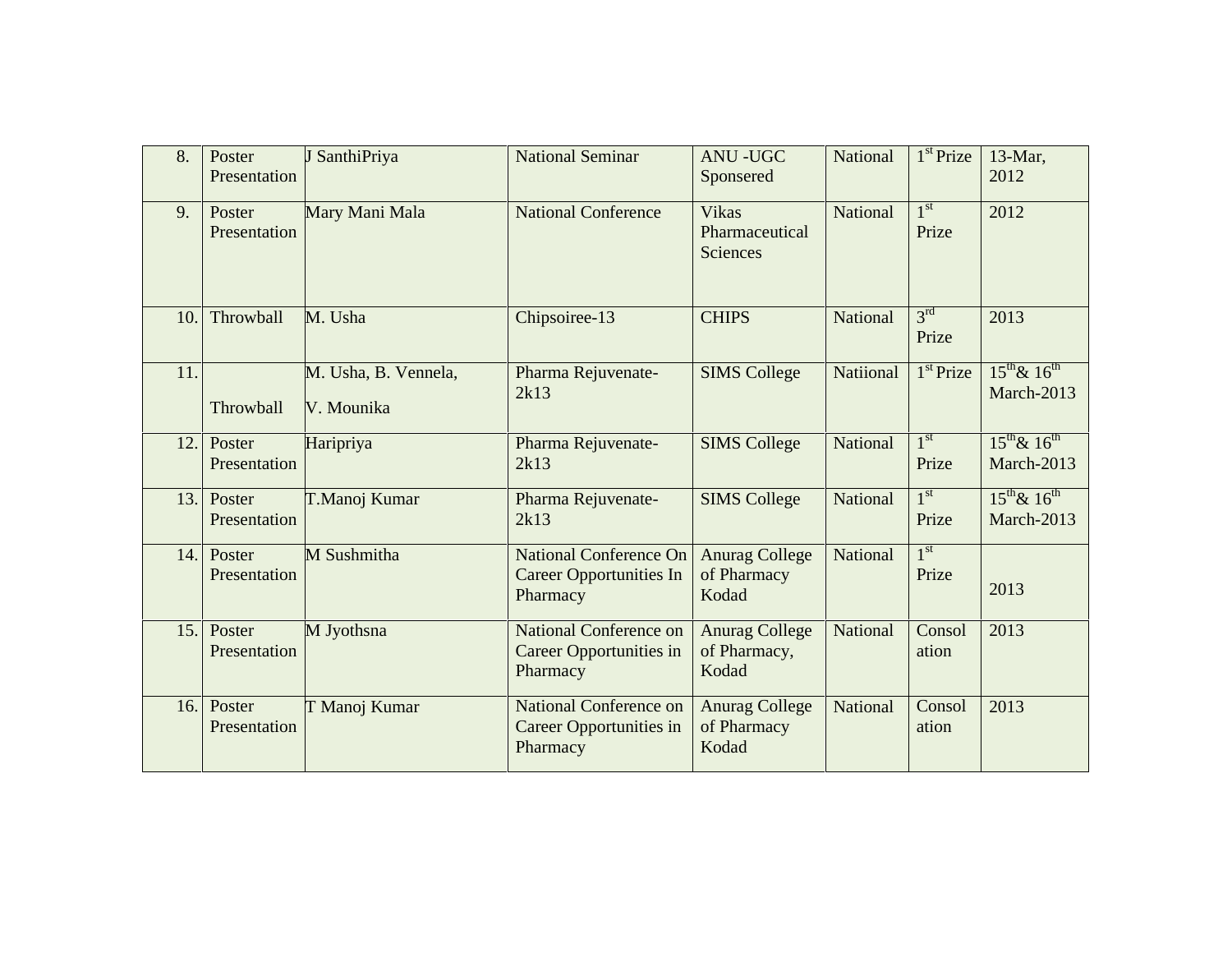| 8.  | Poster<br>Presentation | J SanthiPriya                      | <b>National Seminar</b>                                                     | <b>ANU-UGC</b><br>Sponsered                    | National        | $1st$ Prize              | 13-Mar,<br>2012                     |
|-----|------------------------|------------------------------------|-----------------------------------------------------------------------------|------------------------------------------------|-----------------|--------------------------|-------------------------------------|
| 9.  | Poster<br>Presentation | Mary Mani Mala                     | <b>National Conference</b>                                                  | <b>Vikas</b><br>Pharmaceutical<br>Sciences     | <b>National</b> | $1^{\rm st}$<br>Prize    | 2012                                |
| 10. | Throwball              | M. Usha                            | Chipsoiree-13                                                               | <b>CHIPS</b>                                   | National        | 3 <sup>rd</sup><br>Prize | 2013                                |
| 11. | Throwball              | M. Usha, B. Vennela,<br>V. Mounika | Pharma Rejuvenate-<br>2k13                                                  | <b>SIMS College</b>                            | Natiional       | $1st$ Prize              | $15^{th}$ & $16^{th}$<br>March-2013 |
| 12. | Poster<br>Presentation | Haripriya                          | Pharma Rejuvenate-<br>2k13                                                  | <b>SIMS College</b>                            | National        | 1 <sup>st</sup><br>Prize | $15^{th}$ & $16^{th}$<br>March-2013 |
| 13. | Poster<br>Presentation | T.Manoj Kumar                      | Pharma Rejuvenate-<br>2k13                                                  | <b>SIMS College</b>                            | National        | 1 <sup>st</sup><br>Prize | $15^{th}$ & $16^{th}$<br>March-2013 |
| 14. | Poster<br>Presentation | M Sushmitha                        | <b>National Conference On</b><br><b>Career Opportunities In</b><br>Pharmacy | <b>Anurag College</b><br>of Pharmacy<br>Kodad  | National        | 1 <sup>st</sup><br>Prize | 2013                                |
| 15. | Poster<br>Presentation | M Jyothsna                         | National Conference on<br>Career Opportunities in<br>Pharmacy               | <b>Anurag College</b><br>of Pharmacy,<br>Kodad | National        | Consol<br>ation          | 2013                                |
| 16. | Poster<br>Presentation | T Manoj Kumar                      | <b>National Conference on</b><br>Career Opportunities in<br>Pharmacy        | <b>Anurag College</b><br>of Pharmacy<br>Kodad  | National        | Consol<br>ation          | 2013                                |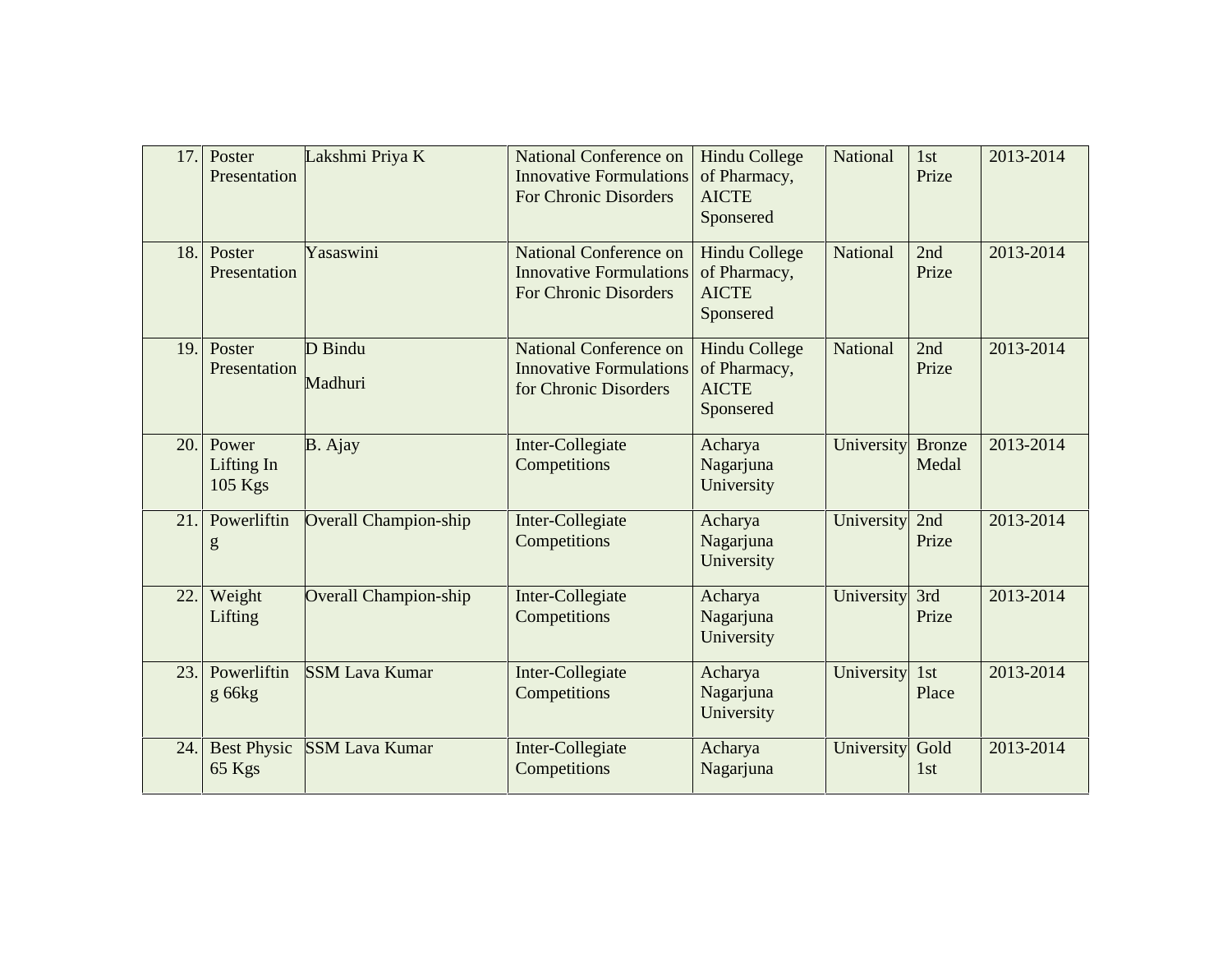| 17. | Poster<br>Presentation         | Lakshmi Priya K              | <b>National Conference on</b><br><b>Innovative Formulations</b><br><b>For Chronic Disorders</b> | <b>Hindu College</b><br>of Pharmacy,<br><b>AICTE</b><br>Sponsered | National        | 1st<br>Prize           | 2013-2014 |
|-----|--------------------------------|------------------------------|-------------------------------------------------------------------------------------------------|-------------------------------------------------------------------|-----------------|------------------------|-----------|
| 18. | Poster<br>Presentation         | Yasaswini                    | <b>National Conference on</b><br><b>Innovative Formulations</b><br><b>For Chronic Disorders</b> | <b>Hindu College</b><br>of Pharmacy,<br><b>AICTE</b><br>Sponsered | National        | 2nd<br>Prize           | 2013-2014 |
| 19. | Poster<br>Presentation         | D Bindu<br>Madhuri           | National Conference on<br><b>Innovative Formulations</b><br>for Chronic Disorders               | <b>Hindu College</b><br>of Pharmacy,<br><b>AICTE</b><br>Sponsered | <b>National</b> | 2nd<br>Prize           | 2013-2014 |
| 20. | Power<br>Lifting In<br>105 Kgs | B. Ajay                      | Inter-Collegiate<br>Competitions                                                                | Acharya<br>Nagarjuna<br>University                                | University      | <b>Bronze</b><br>Medal | 2013-2014 |
| 21. | Powerliftin<br>g               | <b>Overall Champion-ship</b> | Inter-Collegiate<br>Competitions                                                                | Acharya<br>Nagarjuna<br>University                                | University      | 2nd<br>Prize           | 2013-2014 |
| 22. | Weight<br>Lifting              | <b>Overall Champion-ship</b> | Inter-Collegiate<br>Competitions                                                                | Acharya<br>Nagarjuna<br>University                                | University      | 3rd<br>Prize           | 2013-2014 |
| 23. | Powerliftin<br>$g$ 66 $kg$     | <b>SSM Lava Kumar</b>        | Inter-Collegiate<br>Competitions                                                                | Acharya<br>Nagarjuna<br>University                                | University      | 1st<br>Place           | 2013-2014 |
| 24. | <b>Best Physic</b><br>65 Kgs   | <b>SSM Lava Kumar</b>        | Inter-Collegiate<br>Competitions                                                                | Acharya<br>Nagarjuna                                              | University      | Gold<br>1st            | 2013-2014 |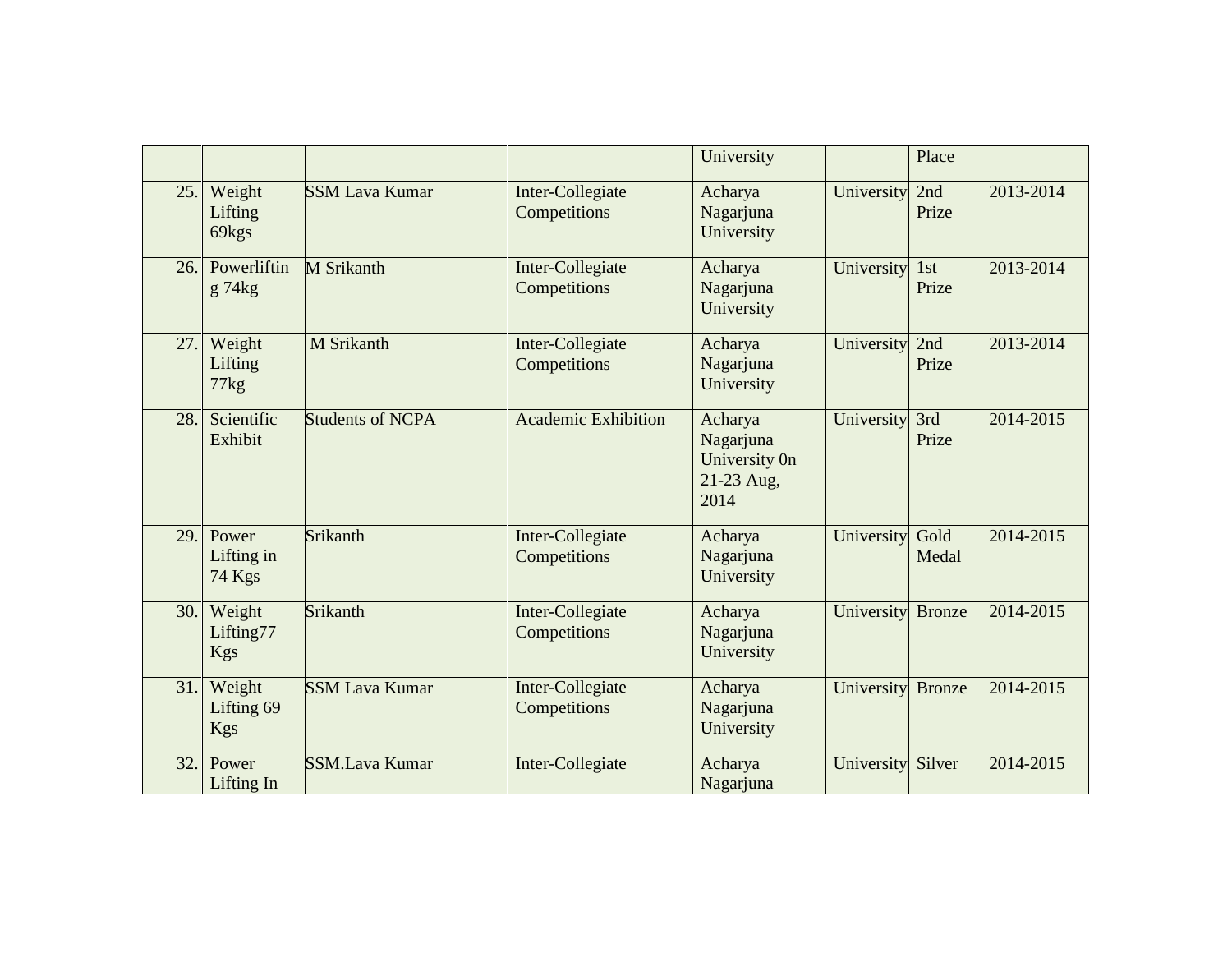|     |                                    |                         |                                  | University                                                  |            | Place         |           |
|-----|------------------------------------|-------------------------|----------------------------------|-------------------------------------------------------------|------------|---------------|-----------|
| 25. | Weight<br>Lifting<br>69kgs         | <b>SSM Lava Kumar</b>   | Inter-Collegiate<br>Competitions | Acharya<br>Nagarjuna<br>University                          | University | 2nd<br>Prize  | 2013-2014 |
| 26. | Powerliftin<br>g 74kg              | <b>M</b> Srikanth       | Inter-Collegiate<br>Competitions | Acharya<br>Nagarjuna<br>University                          | University | 1st<br>Prize  | 2013-2014 |
| 27. | Weight<br>Lifting<br>77kg          | M Srikanth              | Inter-Collegiate<br>Competitions | Acharya<br>Nagarjuna<br>University                          | University | 2nd<br>Prize  | 2013-2014 |
| 28. | Scientific<br>Exhibit              | <b>Students of NCPA</b> | <b>Academic Exhibition</b>       | Acharya<br>Nagarjuna<br>University On<br>21-23 Aug,<br>2014 | University | 3rd<br>Prize  | 2014-2015 |
| 29. | Power<br>Lifting in<br>74 Kgs      | Srikanth                | Inter-Collegiate<br>Competitions | Acharya<br>Nagarjuna<br>University                          | University | Gold<br>Medal | 2014-2015 |
| 30. | Weight<br>Lifting77<br><b>Kgs</b>  | Srikanth                | Inter-Collegiate<br>Competitions | Acharya<br>Nagarjuna<br>University                          | University | <b>Bronze</b> | 2014-2015 |
| 31. | Weight<br>Lifting 69<br><b>Kgs</b> | <b>SSM Lava Kumar</b>   | Inter-Collegiate<br>Competitions | Acharya<br>Nagarjuna<br>University                          | University | <b>Bronze</b> | 2014-2015 |
| 32. | Power<br>Lifting In                | <b>SSM.Lava Kumar</b>   | Inter-Collegiate                 | Acharya<br>Nagarjuna                                        | University | Silver        | 2014-2015 |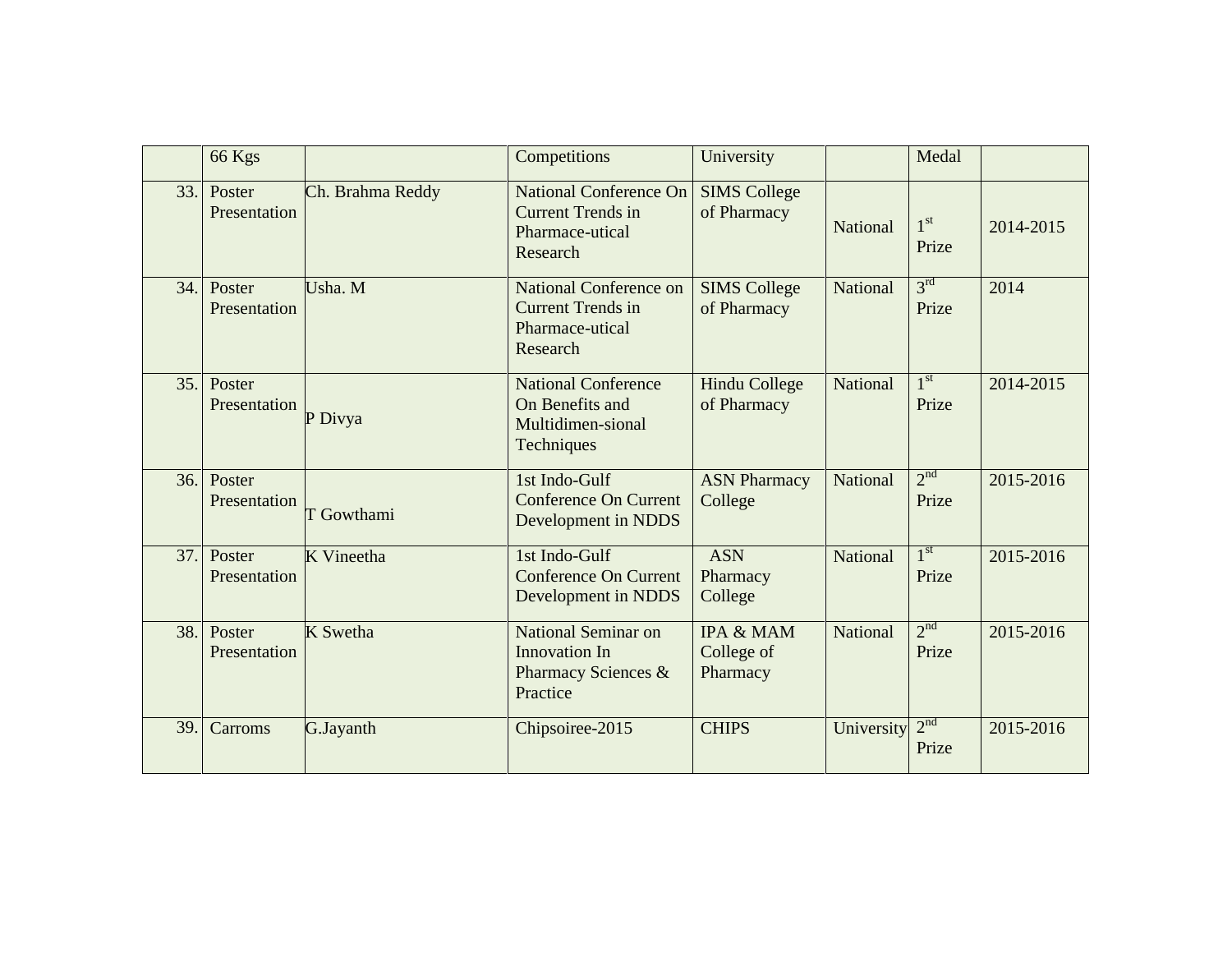|     | 66 Kgs                 |                  | Competitions                                                                             | University                                     |                 | Medal                    |           |
|-----|------------------------|------------------|------------------------------------------------------------------------------------------|------------------------------------------------|-----------------|--------------------------|-----------|
| 33. | Poster<br>Presentation | Ch. Brahma Reddy | <b>National Conference On</b><br><b>Current Trends in</b><br>Pharmace-utical<br>Research | <b>SIMS College</b><br>of Pharmacy             | <b>National</b> | $1^{\rm st}$<br>Prize    | 2014-2015 |
| 34. | Poster<br>Presentation | Usha. M          | National Conference on<br><b>Current Trends in</b><br>Pharmace-utical<br>Research        | <b>SIMS College</b><br>of Pharmacy             | <b>National</b> | 3 <sup>rd</sup><br>Prize | 2014      |
| 35. | Poster<br>Presentation | P Divya          | <b>National Conference</b><br>On Benefits and<br>Multidimen-sional<br>Techniques         | <b>Hindu College</b><br>of Pharmacy            | National        | 1 <sup>st</sup><br>Prize | 2014-2015 |
| 36. | Poster<br>Presentation | T Gowthami       | 1st Indo-Gulf<br><b>Conference On Current</b><br>Development in NDDS                     | <b>ASN Pharmacy</b><br>College                 | <b>National</b> | 2 <sup>nd</sup><br>Prize | 2015-2016 |
| 37. | Poster<br>Presentation | K Vineetha       | 1st Indo-Gulf<br><b>Conference On Current</b><br>Development in NDDS                     | <b>ASN</b><br>Pharmacy<br>College              | <b>National</b> | 1 <sup>st</sup><br>Prize | 2015-2016 |
| 38. | Poster<br>Presentation | K Swetha         | National Seminar on<br>Innovation In<br>Pharmacy Sciences &<br>Practice                  | <b>IPA &amp; MAM</b><br>College of<br>Pharmacy | National        | 2 <sup>nd</sup><br>Prize | 2015-2016 |
| 39. | Carroms                | G.Jayanth        | Chipsoiree-2015                                                                          | <b>CHIPS</b>                                   | University      | 2 <sup>nd</sup><br>Prize | 2015-2016 |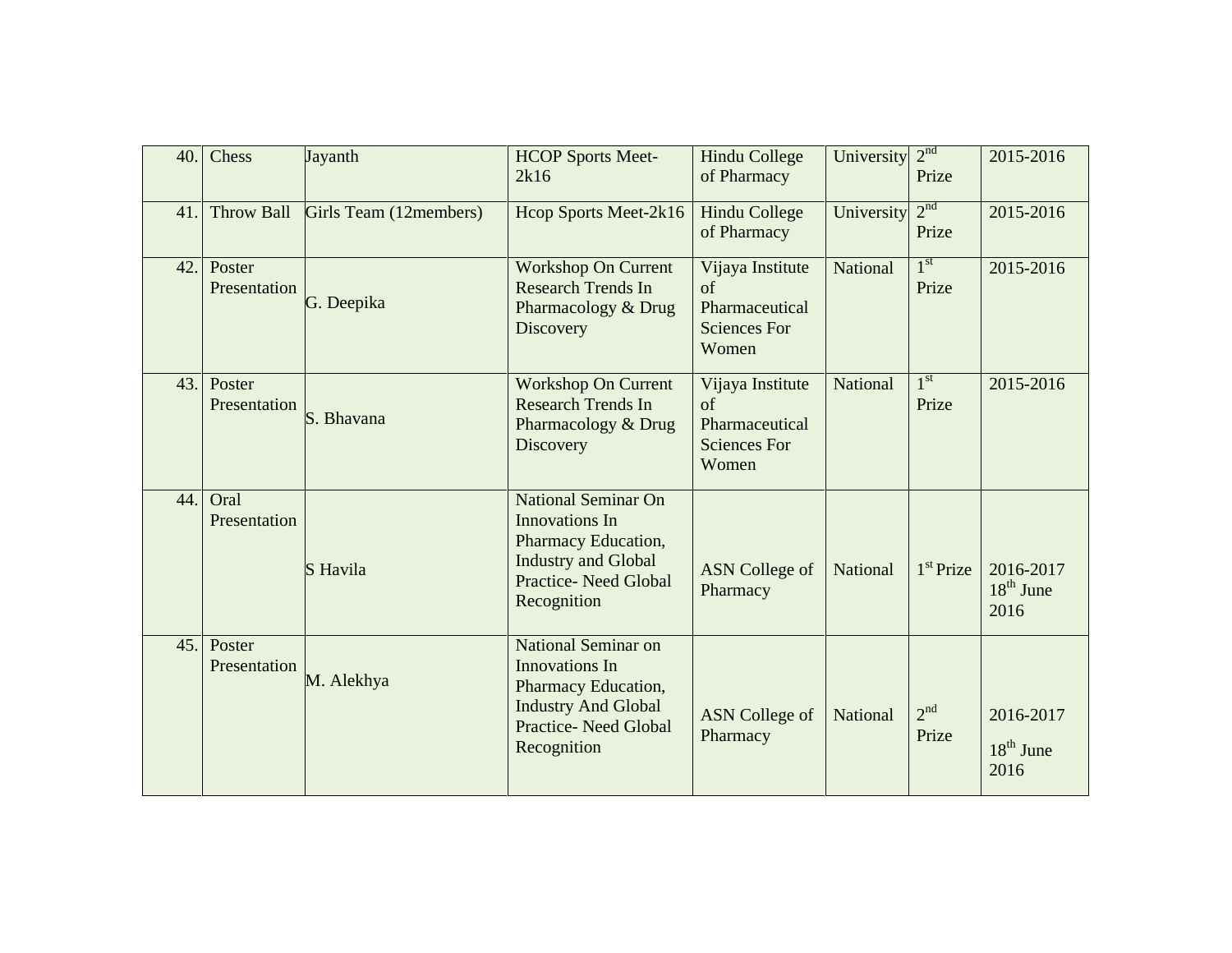| 40. | Chess                  | Jayanth                | <b>HCOP Sports Meet-</b><br>2k16                                                                                                                       | <b>Hindu College</b><br>of Pharmacy                                            | University      | 2 <sup>nd</sup><br>Prize | 2015-2016                        |
|-----|------------------------|------------------------|--------------------------------------------------------------------------------------------------------------------------------------------------------|--------------------------------------------------------------------------------|-----------------|--------------------------|----------------------------------|
| 41. | Throw Ball             | Girls Team (12members) | Hcop Sports Meet-2k16                                                                                                                                  | <b>Hindu College</b><br>of Pharmacy                                            | University      | 2 <sup>nd</sup><br>Prize | 2015-2016                        |
| 42. | Poster<br>Presentation | G. Deepika             | <b>Workshop On Current</b><br><b>Research Trends In</b><br>Pharmacology & Drug<br><b>Discovery</b>                                                     | Vijaya Institute<br>$\sigma$<br>Pharmaceutical<br><b>Sciences For</b><br>Women | <b>National</b> | 1 <sup>st</sup><br>Prize | 2015-2016                        |
| 43. | Poster<br>Presentation | S. Bhavana             | <b>Workshop On Current</b><br><b>Research Trends In</b><br>Pharmacology & Drug<br>Discovery                                                            | Vijaya Institute<br>of<br>Pharmaceutical<br><b>Sciences For</b><br>Women       | <b>National</b> | 1 <sup>st</sup><br>Prize | 2015-2016                        |
| 44. | Oral<br>Presentation   | S Havila               | <b>National Seminar On</b><br><b>Innovations</b> In<br>Pharmacy Education,<br><b>Industry and Global</b><br><b>Practice-Need Global</b><br>Recognition | <b>ASN</b> College of<br>Pharmacy                                              | <b>National</b> | $1st$ Prize              | 2016-2017<br>$18th$ June<br>2016 |
| 45. | Poster<br>Presentation | M. Alekhya             | National Seminar on<br>Innovations In<br>Pharmacy Education,<br><b>Industry And Global</b><br><b>Practice-Need Global</b><br>Recognition               | <b>ASN</b> College of<br>Pharmacy                                              | National        | 2 <sup>nd</sup><br>Prize | 2016-2017<br>$18th$ June<br>2016 |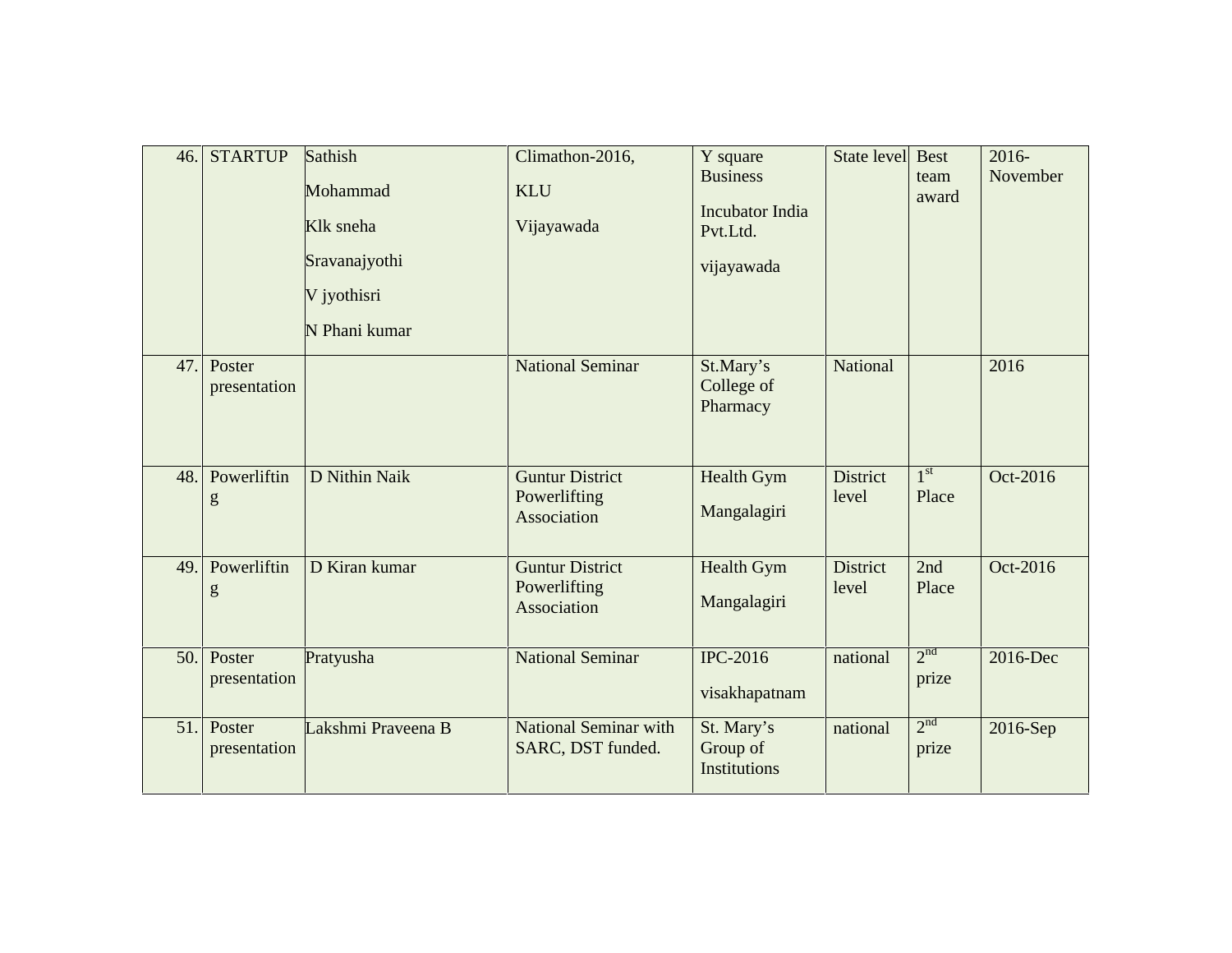| 46. | <b>STARTUP</b>         | Sathish<br>Mohammad<br>Klk sneha<br>Sravanajyothi<br>V jyothisri<br>N Phani kumar | Climathon-2016,<br><b>KLU</b><br>Vijayawada           | Y square<br><b>Business</b><br><b>Incubator India</b><br>Pvt.Ltd.<br>vijayawada | State level              | <b>Best</b><br>team<br>award | 2016-<br>November |
|-----|------------------------|-----------------------------------------------------------------------------------|-------------------------------------------------------|---------------------------------------------------------------------------------|--------------------------|------------------------------|-------------------|
| 47. | Poster<br>presentation |                                                                                   | <b>National Seminar</b>                               | St.Mary's<br>College of<br>Pharmacy                                             | <b>National</b>          |                              | 2016              |
| 48. | Powerliftin<br>g       | D Nithin Naik                                                                     | <b>Guntur District</b><br>Powerlifting<br>Association | Health Gym<br>Mangalagiri                                                       | <b>District</b><br>level | 1 <sup>st</sup><br>Place     | Oct-2016          |
| 49. | Powerliftin<br>g       | D Kiran kumar                                                                     | <b>Guntur District</b><br>Powerlifting<br>Association | Health Gym<br>Mangalagiri                                                       | <b>District</b><br>level | 2nd<br>Place                 | Oct-2016          |
| 50. | Poster<br>presentation | Pratyusha                                                                         | <b>National Seminar</b>                               | <b>IPC-2016</b><br>visakhapatnam                                                | national                 | 2 <sup>nd</sup><br>prize     | 2016-Dec          |
| 51. | Poster<br>presentation | Lakshmi Praveena B                                                                | <b>National Seminar with</b><br>SARC, DST funded.     | St. Mary's<br>Group of<br><b>Institutions</b>                                   | national                 | 2 <sup>nd</sup><br>prize     | 2016-Sep          |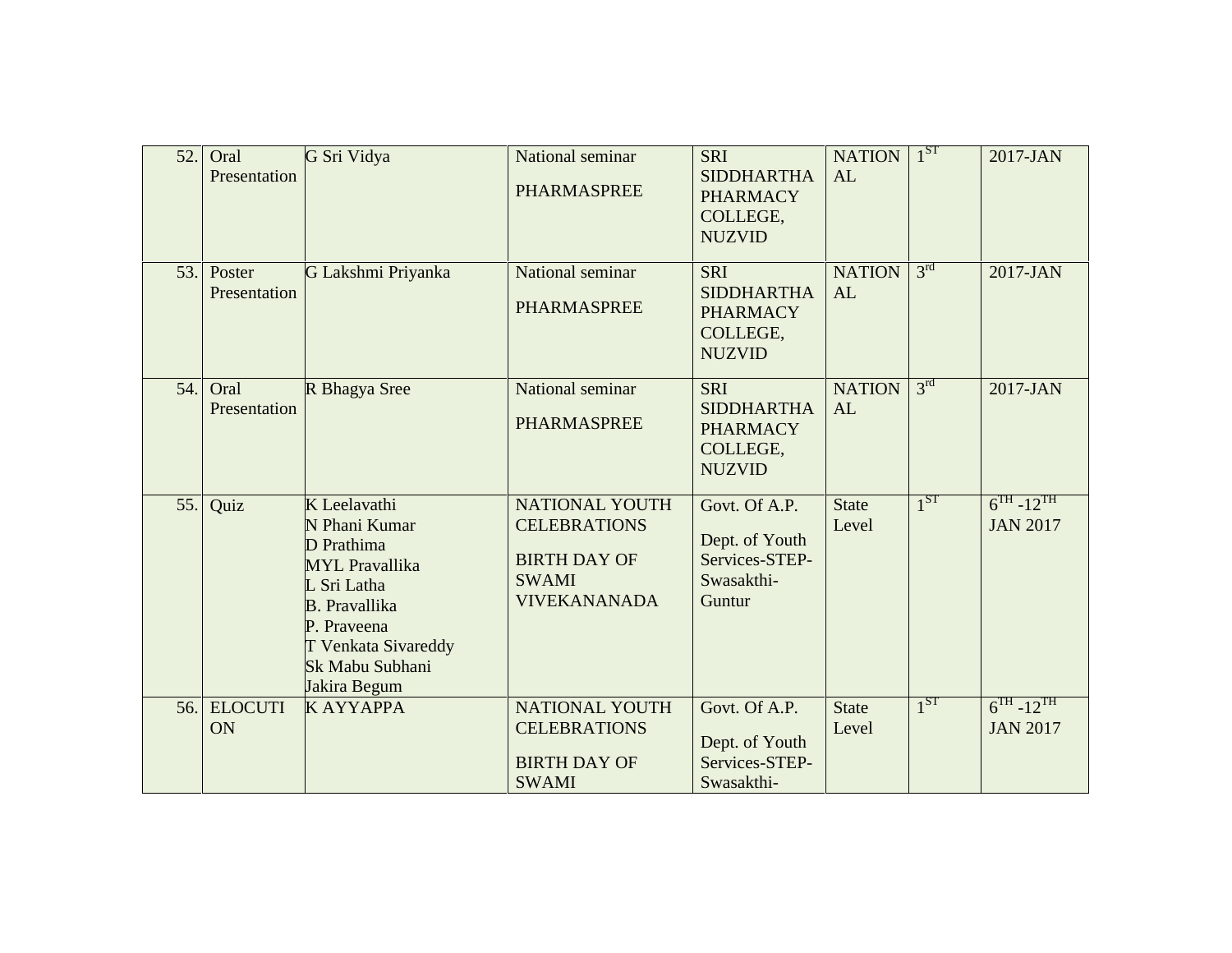| 52. | Oral<br>Presentation   | G Sri Vidya                                                                                                                                                                                 | National seminar<br><b>PHARMASPREE</b>                                                                     | <b>SRI</b><br><b>SIDDHARTHA</b><br><b>PHARMACY</b><br>COLLEGE,<br><b>NUZVID</b> | <b>NATION</b><br>AL   | $1^{ST}$        | 2017-JAN                              |
|-----|------------------------|---------------------------------------------------------------------------------------------------------------------------------------------------------------------------------------------|------------------------------------------------------------------------------------------------------------|---------------------------------------------------------------------------------|-----------------------|-----------------|---------------------------------------|
| 53. | Poster<br>Presentation | G Lakshmi Priyanka                                                                                                                                                                          | National seminar<br><b>PHARMASPREE</b>                                                                     | <b>SRI</b><br><b>SIDDHARTHA</b><br><b>PHARMACY</b><br>COLLEGE,<br><b>NUZVID</b> | <b>NATION</b><br>AL   | 3 <sup>rd</sup> | 2017-JAN                              |
| 54. | Oral<br>Presentation   | R Bhagya Sree                                                                                                                                                                               | National seminar<br><b>PHARMASPREE</b>                                                                     | <b>SRI</b><br><b>SIDDHARTHA</b><br><b>PHARMACY</b><br>COLLEGE,<br><b>NUZVID</b> | <b>NATION</b><br>AL   | 3 <sup>rd</sup> | 2017-JAN                              |
| 55. | Quiz                   | K Leelavathi<br>N Phani Kumar<br>D Prathima<br><b>MYL</b> Pravallika<br>L Sri Latha<br><b>B.</b> Pravallika<br>P. Praveena<br><b>T Venkata Sivareddy</b><br>Sk Mabu Subhani<br>Jakira Begum | <b>NATIONAL YOUTH</b><br><b>CELEBRATIONS</b><br><b>BIRTH DAY OF</b><br><b>SWAMI</b><br><b>VIVEKANANADA</b> | Govt. Of A.P.<br>Dept. of Youth<br>Services-STEP-<br>Swasakthi-<br>Guntur       | <b>State</b><br>Level | $1^{ST}$        | $6^{TH} - 12^{TH}$<br><b>JAN 2017</b> |
| 56. | <b>ELOCUTI</b><br>ON   | <b>KAYYAPPA</b>                                                                                                                                                                             | <b>NATIONAL YOUTH</b><br><b>CELEBRATIONS</b><br><b>BIRTH DAY OF</b><br><b>SWAMI</b>                        | Govt. Of A.P.<br>Dept. of Youth<br>Services-STEP-<br>Swasakthi-                 | <b>State</b><br>Level | 1 <sup>ST</sup> | $6^{TH} - 12^{TH}$<br><b>JAN 2017</b> |